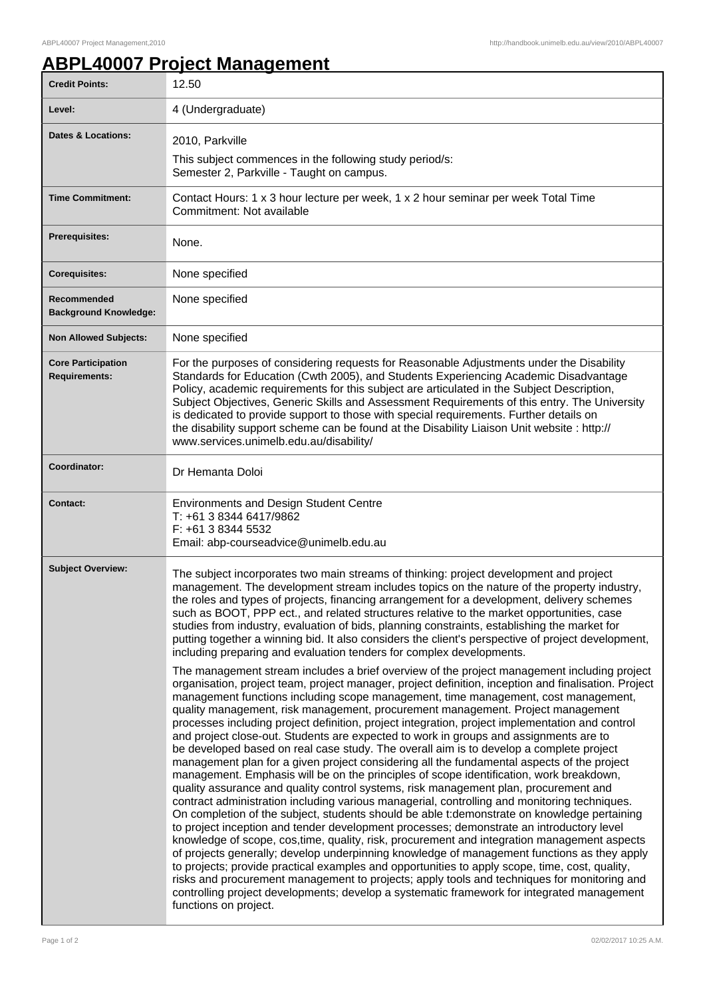## **ABPL40007 Project Management**

| <b>Credit Points:</b>                             | 12.50                                                                                                                                                                                                                                                                                                                                                                                                                                                                                                                                                                                                                                                                                                                                                                                                                                                                                                                                                                                                                                                                                                                                                                                                                                                                                                                                                                                                                                                                                                                                                                                                                                                                                                                                                                   |
|---------------------------------------------------|-------------------------------------------------------------------------------------------------------------------------------------------------------------------------------------------------------------------------------------------------------------------------------------------------------------------------------------------------------------------------------------------------------------------------------------------------------------------------------------------------------------------------------------------------------------------------------------------------------------------------------------------------------------------------------------------------------------------------------------------------------------------------------------------------------------------------------------------------------------------------------------------------------------------------------------------------------------------------------------------------------------------------------------------------------------------------------------------------------------------------------------------------------------------------------------------------------------------------------------------------------------------------------------------------------------------------------------------------------------------------------------------------------------------------------------------------------------------------------------------------------------------------------------------------------------------------------------------------------------------------------------------------------------------------------------------------------------------------------------------------------------------------|
| Level:                                            | 4 (Undergraduate)                                                                                                                                                                                                                                                                                                                                                                                                                                                                                                                                                                                                                                                                                                                                                                                                                                                                                                                                                                                                                                                                                                                                                                                                                                                                                                                                                                                                                                                                                                                                                                                                                                                                                                                                                       |
| <b>Dates &amp; Locations:</b>                     | 2010, Parkville<br>This subject commences in the following study period/s:<br>Semester 2, Parkville - Taught on campus.                                                                                                                                                                                                                                                                                                                                                                                                                                                                                                                                                                                                                                                                                                                                                                                                                                                                                                                                                                                                                                                                                                                                                                                                                                                                                                                                                                                                                                                                                                                                                                                                                                                 |
| <b>Time Commitment:</b>                           | Contact Hours: 1 x 3 hour lecture per week, 1 x 2 hour seminar per week Total Time<br>Commitment: Not available                                                                                                                                                                                                                                                                                                                                                                                                                                                                                                                                                                                                                                                                                                                                                                                                                                                                                                                                                                                                                                                                                                                                                                                                                                                                                                                                                                                                                                                                                                                                                                                                                                                         |
| <b>Prerequisites:</b>                             | None.                                                                                                                                                                                                                                                                                                                                                                                                                                                                                                                                                                                                                                                                                                                                                                                                                                                                                                                                                                                                                                                                                                                                                                                                                                                                                                                                                                                                                                                                                                                                                                                                                                                                                                                                                                   |
| <b>Corequisites:</b>                              | None specified                                                                                                                                                                                                                                                                                                                                                                                                                                                                                                                                                                                                                                                                                                                                                                                                                                                                                                                                                                                                                                                                                                                                                                                                                                                                                                                                                                                                                                                                                                                                                                                                                                                                                                                                                          |
| Recommended<br><b>Background Knowledge:</b>       | None specified                                                                                                                                                                                                                                                                                                                                                                                                                                                                                                                                                                                                                                                                                                                                                                                                                                                                                                                                                                                                                                                                                                                                                                                                                                                                                                                                                                                                                                                                                                                                                                                                                                                                                                                                                          |
| <b>Non Allowed Subjects:</b>                      | None specified                                                                                                                                                                                                                                                                                                                                                                                                                                                                                                                                                                                                                                                                                                                                                                                                                                                                                                                                                                                                                                                                                                                                                                                                                                                                                                                                                                                                                                                                                                                                                                                                                                                                                                                                                          |
| <b>Core Participation</b><br><b>Requirements:</b> | For the purposes of considering requests for Reasonable Adjustments under the Disability<br>Standards for Education (Cwth 2005), and Students Experiencing Academic Disadvantage<br>Policy, academic requirements for this subject are articulated in the Subject Description,<br>Subject Objectives, Generic Skills and Assessment Requirements of this entry. The University<br>is dedicated to provide support to those with special requirements. Further details on<br>the disability support scheme can be found at the Disability Liaison Unit website : http://<br>www.services.unimelb.edu.au/disability/                                                                                                                                                                                                                                                                                                                                                                                                                                                                                                                                                                                                                                                                                                                                                                                                                                                                                                                                                                                                                                                                                                                                                      |
| Coordinator:                                      | Dr Hemanta Doloi                                                                                                                                                                                                                                                                                                                                                                                                                                                                                                                                                                                                                                                                                                                                                                                                                                                                                                                                                                                                                                                                                                                                                                                                                                                                                                                                                                                                                                                                                                                                                                                                                                                                                                                                                        |
| <b>Contact:</b>                                   | <b>Environments and Design Student Centre</b><br>T: +61 3 8344 6417/9862<br>F: +61 3 8344 5532<br>Email: abp-courseadvice@unimelb.edu.au                                                                                                                                                                                                                                                                                                                                                                                                                                                                                                                                                                                                                                                                                                                                                                                                                                                                                                                                                                                                                                                                                                                                                                                                                                                                                                                                                                                                                                                                                                                                                                                                                                |
| <b>Subject Overview:</b>                          | The subject incorporates two main streams of thinking: project development and project<br>management. The development stream includes topics on the nature of the property industry,<br>the roles and types of projects, financing arrangement for a development, delivery schemes<br>such as BOOT, PPP ect., and related structures relative to the market opportunities, case<br>studies from industry, evaluation of bids, planning constraints, establishing the market for<br>putting together a winning bid. It also considers the client's perspective of project development,<br>including preparing and evaluation tenders for complex developments.                                                                                                                                                                                                                                                                                                                                                                                                                                                                                                                                                                                                                                                                                                                                                                                                                                                                                                                                                                                                                                                                                                           |
|                                                   | The management stream includes a brief overview of the project management including project<br>organisation, project team, project manager, project definition, inception and finalisation. Project<br>management functions including scope management, time management, cost management,<br>quality management, risk management, procurement management. Project management<br>processes including project definition, project integration, project implementation and control<br>and project close-out. Students are expected to work in groups and assignments are to<br>be developed based on real case study. The overall aim is to develop a complete project<br>management plan for a given project considering all the fundamental aspects of the project<br>management. Emphasis will be on the principles of scope identification, work breakdown,<br>quality assurance and quality control systems, risk management plan, procurement and<br>contract administration including various managerial, controlling and monitoring techniques.<br>On completion of the subject, students should be able t: demonstrate on knowledge pertaining<br>to project inception and tender development processes; demonstrate an introductory level<br>knowledge of scope, cos, time, quality, risk, procurement and integration management aspects<br>of projects generally; develop underpinning knowledge of management functions as they apply<br>to projects; provide practical examples and opportunities to apply scope, time, cost, quality,<br>risks and procurement management to projects; apply tools and techniques for monitoring and<br>controlling project developments; develop a systematic framework for integrated management<br>functions on project. |